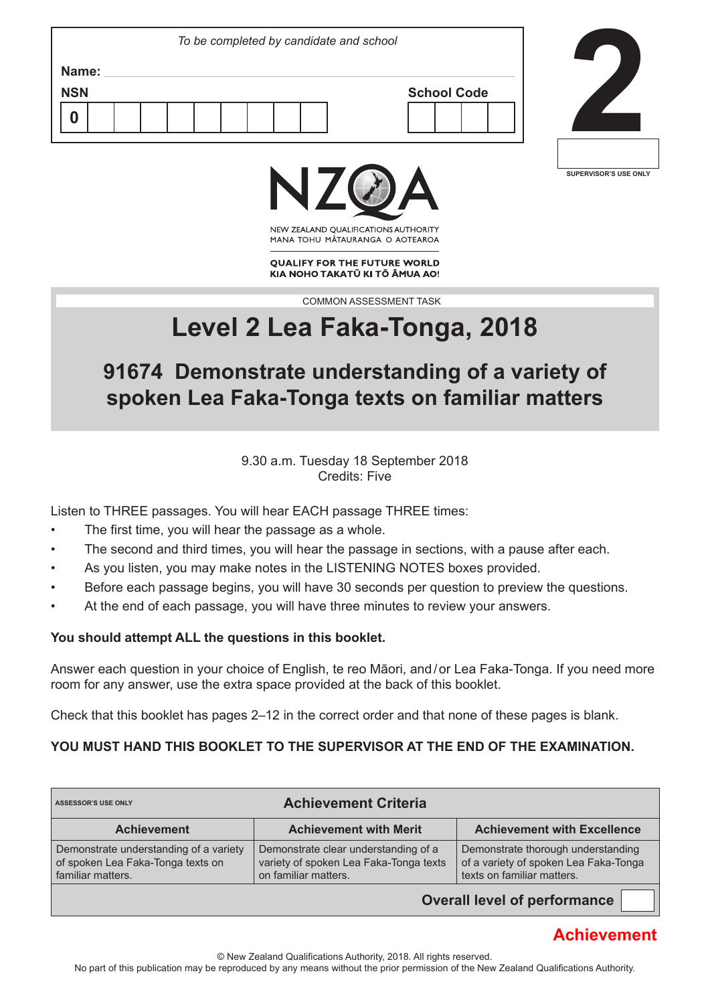| To be completed by candidate and school |                    |
|-----------------------------------------|--------------------|
| Name:<br><b>NSN</b>                     | <b>School Code</b> |
|                                         |                    |







NEW ZEALAND OUALIFICATIONS AUTHORITY MANA TOHU MATAURANGA O AOTEAROA

**QUALIFY FOR THE FUTURE WORLD** KIA NOHO TAKATŪ KI TŌ ĀMUA AO!

COMMON ASSESSMENT TASK

# **Level 2 Lea Faka-Tonga, 2018**

## **91674 Demonstrate understanding of a variety of spoken Lea Faka-Tonga texts on familiar matters**

9.30 a.m. Tuesday 18 September 2018 Credits: Five

Listen to THREE passages. You will hear EACH passage THREE times:

- The first time, you will hear the passage as a whole.
- The second and third times, you will hear the passage in sections, with a pause after each.
- As you listen, you may make notes in the LISTENING NOTES boxes provided.
- Before each passage begins, you will have 30 seconds per question to preview the questions.
- At the end of each passage, you will have three minutes to review your answers.

#### **You should attempt ALL the questions in this booklet.**

Answer each question in your choice of English, te reo Māori, and / or Lea Faka-Tonga. If you need more room for any answer, use the extra space provided at the back of this booklet.

Check that this booklet has pages 2–12 in the correct order and that none of these pages is blank.

### **YOU MUST HAND THIS BOOKLET TO THE SUPERVISOR AT THE END OF THE EXAMINATION.**

| <b>Achievement Criteria</b><br><b>ASSESSOR'S USE ONLY</b>                                        |                                                                                                        |                                                                                                           |  |  |  |
|--------------------------------------------------------------------------------------------------|--------------------------------------------------------------------------------------------------------|-----------------------------------------------------------------------------------------------------------|--|--|--|
| <b>Achievement</b>                                                                               | <b>Achievement with Merit</b>                                                                          | <b>Achievement with Excellence</b>                                                                        |  |  |  |
| Demonstrate understanding of a variety<br>of spoken Lea Faka-Tonga texts on<br>familiar matters. | Demonstrate clear understanding of a<br>variety of spoken Lea Faka-Tonga texts<br>on familiar matters. | Demonstrate thorough understanding<br>of a variety of spoken Lea Faka-Tonga<br>texts on familiar matters. |  |  |  |
|                                                                                                  |                                                                                                        | Ournall laugh of manfameranas                                                                             |  |  |  |

**Overall level of performance**

### **Achievement**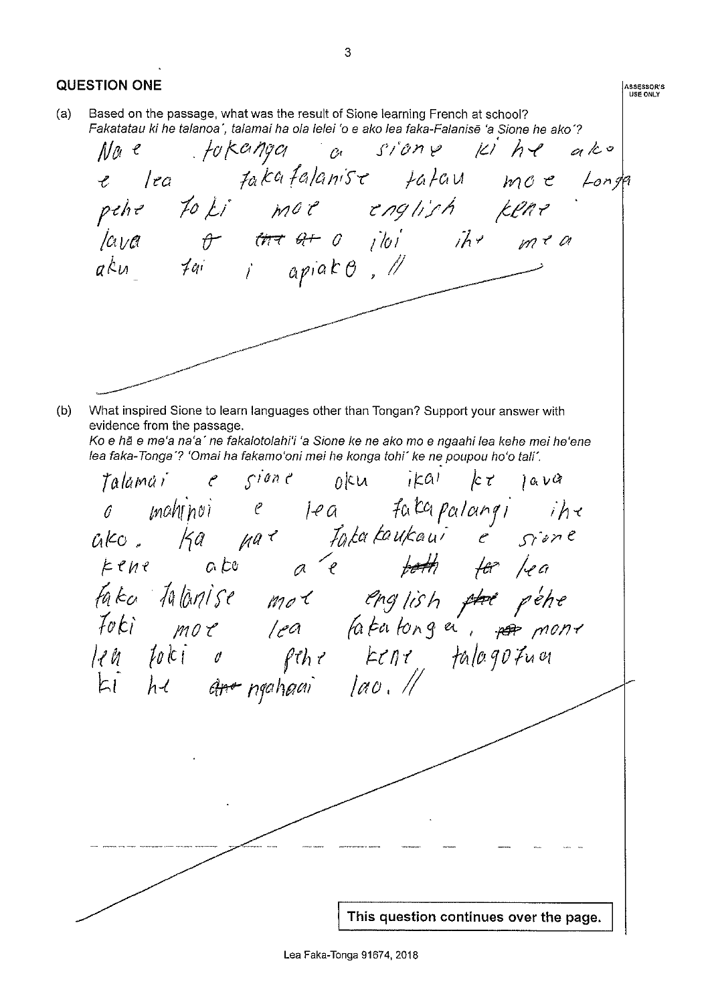**QUESTION ONE** ASSESSOR'S<br>USE ONLY Based on the passage, what was the result of Sione learning French at school?  $(a)$ Fakatatau ki he talanoa', talamai ha ola lelei 'o e ako lea faka-Falanisē 'a Sione he ako'? fokanga a sione ki he ako  $Mn e$ lea fakafalanise tatau moe Longa pehe to ki mor english kene 'lava o ma ar o jioi ihr mea<br>aku tai i apiako, !! What inspired Sione to learn languages other than Tongan? Support your answer with  $(b)$ evidence from the passage. Ko e hã e me'a na'a' ne fakalotolahi'i 'a Sione ke ne ako mo e ngaahi lea kehe mei he'ene lea faka-Tonga'? 'Omai ha fakamo'oni mei he konga tohi' ke ne poupou ho'o tali'. Talamai e sione oku ikal ke lava raiamur c siont opu irai per java<br>
6 mahindi e jea fakapalangi iha<br>
ciko, ka nar fakapakaui e sione<br>
kene ako a e poth for lea<br>
faka-falànise mot english por pohe<br>
faka falànise mot english por pohe<br>
leh hu ano poheai lao. This question continues over the page.

Lea Faka-Tonga 91674, 2018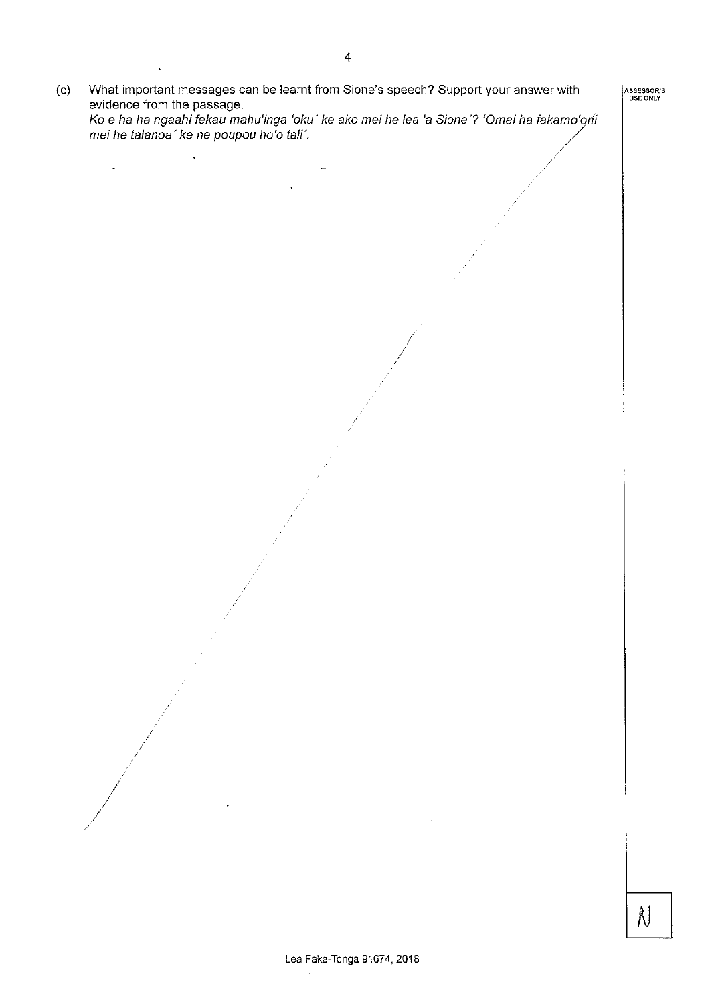mei he talanoa' ke ne poupou ho'o tali'.  $\ddot{\phantom{1}}$ j.

What important messages can be learnt from Sione's speech? Support your answer with

Ko e hā ha ngaahi fekau mahu'inga 'oku' ke ako mei he lea 'a Sione'? 'Omai ha fakamo'oni

 $(c)$ 

evidence from the passage.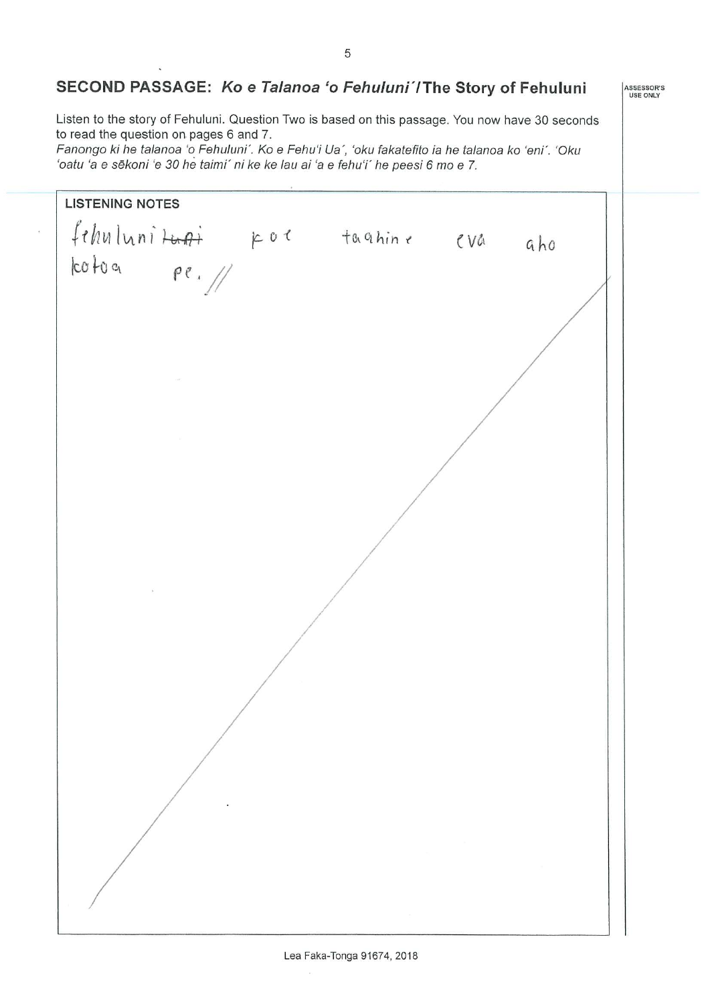### SECOND PASSAGE: Ko e Talanoa 'o Fehuluni'/The Story of Fehuluni

Listen to the story of Fehuluni. Question Two is based on this passage. You now have 30 seconds to read the question on pages 6 and 7.

Fanongo ki he talanoa 'o Fehuluni'. Ko e Fehu'i Ua', 'oku fakatefito ia he talanoa ko 'eni'. 'Oku 'oatu 'a e sēkoni 'e 30 he taimi' ni ke ke lau ai 'a e fehu'i' he peesi 6 mo e 7.

**LISTENING NOTES** fehulunituri por taghine eva aho<br>lcotoa pe.//

ASSESSOR'S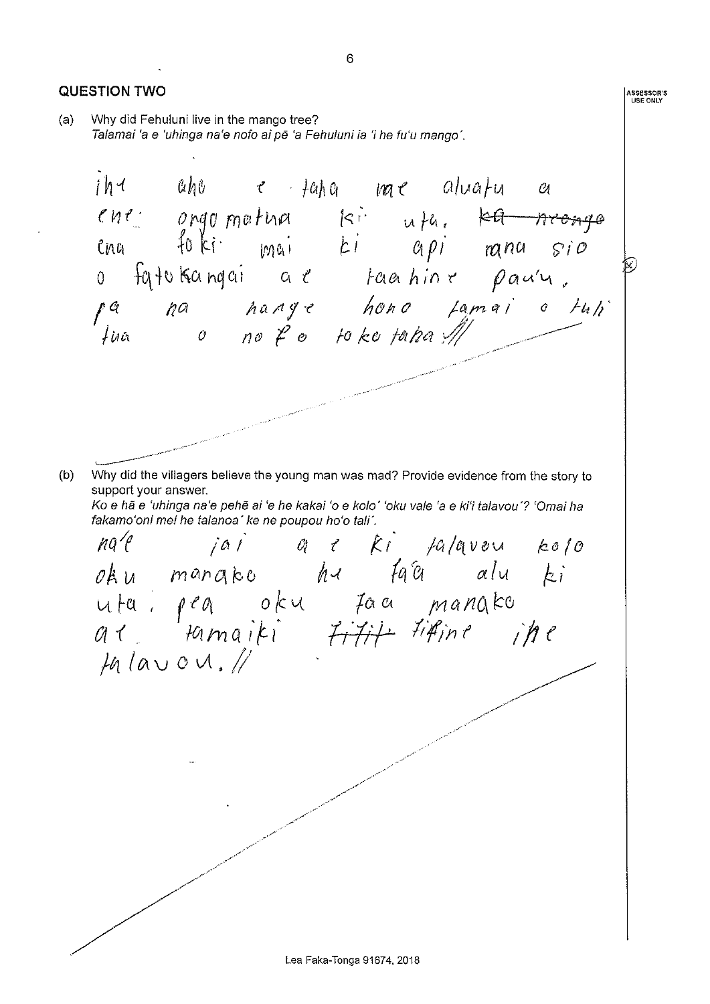**QUESTION TWO ASSESSOR'S<br>USE ONLY** Why did Fehuluni live in the mango tree?  $(a)$ Talamai 'a e 'uhinga na'e nofo ai pē 'a Fehuluni ia 'i he fu'u mango'.  $ih$ aho e taha me aluatu  $\mathcal{O}_l$  $\begin{array}{ccccccccc}\n\text{In} & \text{un} & \text{un} & \text{un} & \text{un} & \text{un} & \text{un} & \text{un} & \text{un} & \text{un} & \text{un} & \text{un} & \text{un} & \text{un} & \text{un} & \text{un} & \text{un} & \text{un} & \text{un} & \text{un} & \text{un} & \text{un} & \text{un} & \text{un} & \text{un} & \text{un} & \text{un} & \text{un} & \text{un} & \text{un} & \text{un} & \text{un} & \text{un} & \text{un} & \text{un} &$ Why did the villagers believe the young man was mad? Provide evidence from the story to  $(b)$ support your answer. Ko e hã e 'uhinga na'e pehē ai 'e he kakai 'o e kolo' 'oku vale 'a e ki'i talavou'? 'Omai ha fakamo'oni mei he talanoa' ke ne poupou ho'o tali'. nal jai a c ki palavou kolo<br>oku manako ha fata alu ki uta: peg oku taa mangko<br>al tamaiki titit titine ihe  $14$  lavov.

6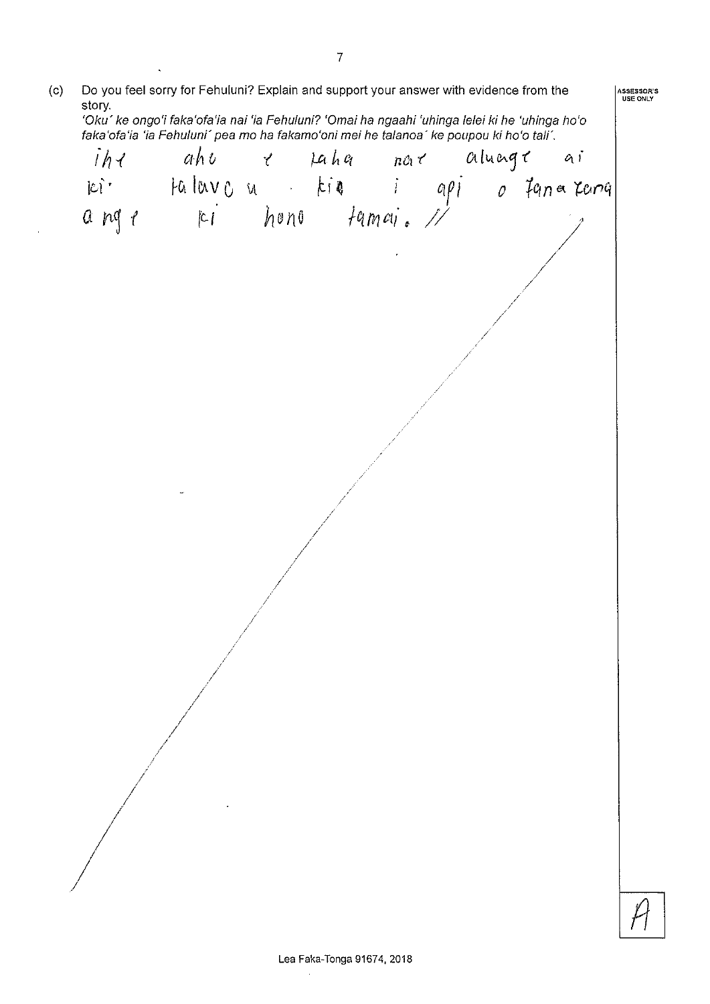| Do you feel sorry for Fehuluni? Explain and support your answer with evidence from the<br>(c)<br>story.<br>'Oku' ke ongo'i faka'ofa'ia nai 'ia Fehuluni? 'Omai ha ngaahi 'uhinga lelei ki he 'uhinga ho'o<br>faka'ofa'ia 'ia Fehuluni' pea mo ha fakamo'oni mei he talanoa' ke poupou ki ho'o tali'. |  |                                                                                              |  |  |  |  |  | ASSESSOR'S<br>USE ONLY |  |
|------------------------------------------------------------------------------------------------------------------------------------------------------------------------------------------------------------------------------------------------------------------------------------------------------|--|----------------------------------------------------------------------------------------------|--|--|--|--|--|------------------------|--|
|                                                                                                                                                                                                                                                                                                      |  |                                                                                              |  |  |  |  |  |                        |  |
|                                                                                                                                                                                                                                                                                                      |  |                                                                                              |  |  |  |  |  |                        |  |
|                                                                                                                                                                                                                                                                                                      |  | iha ahu ahu paha nara alunga ai<br>Ici Halavou kia i api ofanatama<br>anga ki hono famai. // |  |  |  |  |  |                        |  |
|                                                                                                                                                                                                                                                                                                      |  |                                                                                              |  |  |  |  |  |                        |  |
|                                                                                                                                                                                                                                                                                                      |  |                                                                                              |  |  |  |  |  |                        |  |
|                                                                                                                                                                                                                                                                                                      |  |                                                                                              |  |  |  |  |  |                        |  |
|                                                                                                                                                                                                                                                                                                      |  |                                                                                              |  |  |  |  |  |                        |  |
|                                                                                                                                                                                                                                                                                                      |  |                                                                                              |  |  |  |  |  |                        |  |
|                                                                                                                                                                                                                                                                                                      |  |                                                                                              |  |  |  |  |  |                        |  |
|                                                                                                                                                                                                                                                                                                      |  |                                                                                              |  |  |  |  |  |                        |  |
|                                                                                                                                                                                                                                                                                                      |  |                                                                                              |  |  |  |  |  |                        |  |
|                                                                                                                                                                                                                                                                                                      |  |                                                                                              |  |  |  |  |  |                        |  |
|                                                                                                                                                                                                                                                                                                      |  |                                                                                              |  |  |  |  |  |                        |  |
|                                                                                                                                                                                                                                                                                                      |  |                                                                                              |  |  |  |  |  |                        |  |
|                                                                                                                                                                                                                                                                                                      |  |                                                                                              |  |  |  |  |  |                        |  |
|                                                                                                                                                                                                                                                                                                      |  |                                                                                              |  |  |  |  |  |                        |  |
|                                                                                                                                                                                                                                                                                                      |  |                                                                                              |  |  |  |  |  |                        |  |

 $\ddot{\phantom{a}}$ 

 $\bar{\beta}$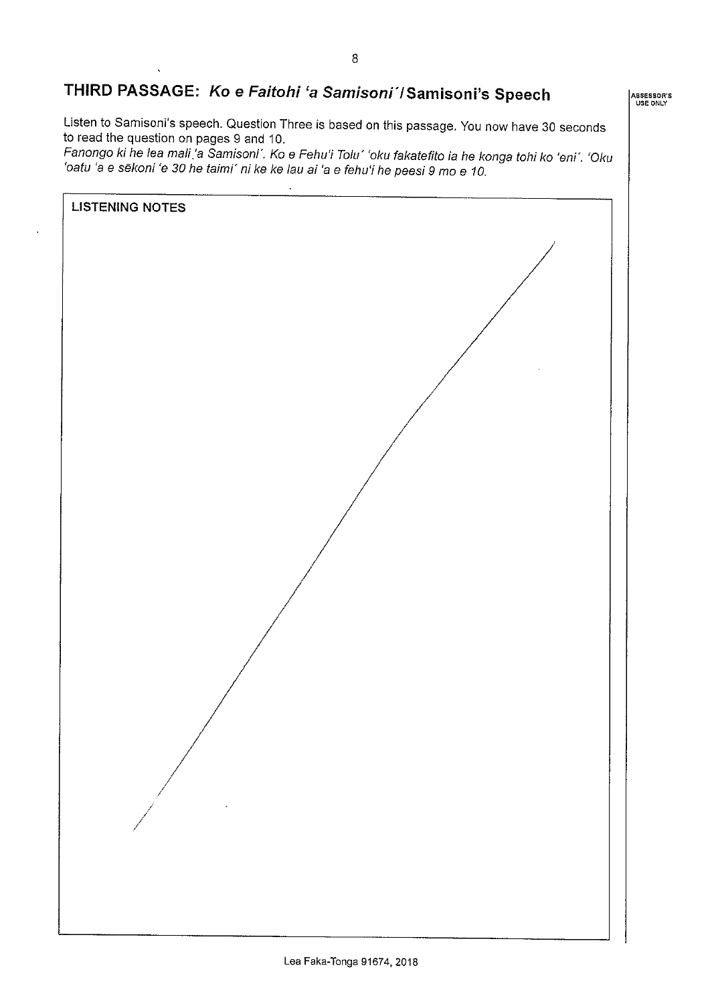## THIRD PASSAGE: Ko e Faitohi 'a Samisoni' / Samisoni's Speech

Listen to Samisoni's speech. Question Three is based on this passage. You now have 30 seconds to read the question on pages 9 and 10.

Fanongo ki he lea mali 'a Samisoni'. Ko e Fehu'i Tolu' 'oku fakatefito ia he konga tohi ko 'eni'. 'Oku 'oatu 'a e sēkoni 'e 30 he taimi' ni ke ke lau ai 'a e fehu'i he peesi 9 mo e 10.



ASSESSOR'S<br>USE ONLY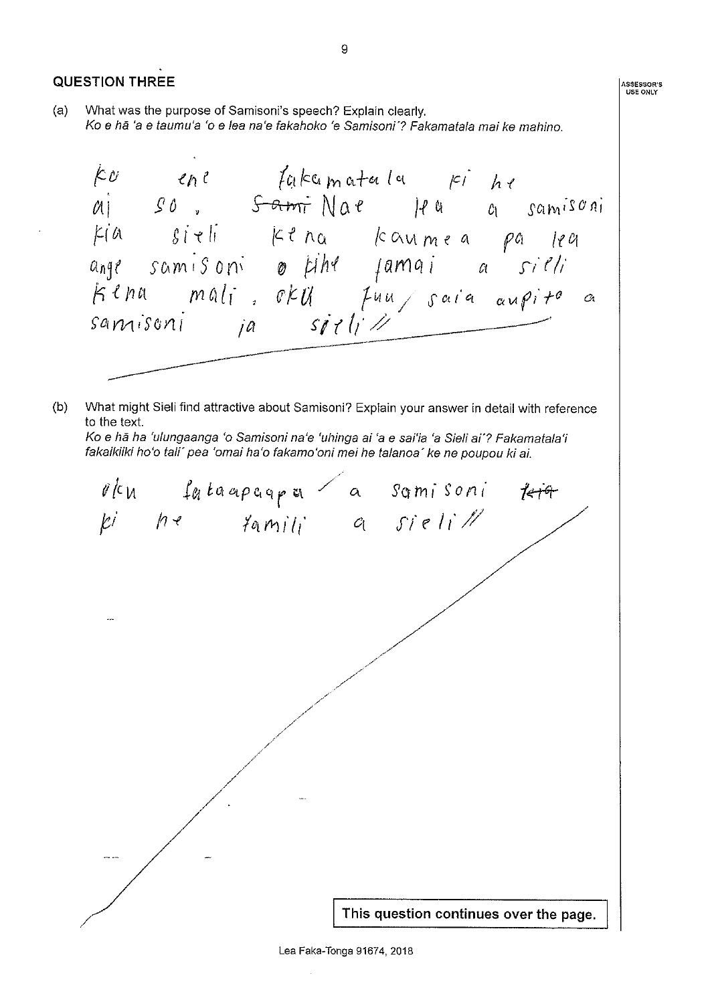**QUESTION THREE** ASSESSOR'S<br>USE ONLY What was the purpose of Samisoni's speech? Explain clearly.  $(a)$ Ko e hã 'a e taumu'a 'o e lea na'e fakahoko 'e Samisoni'? Fakamatala mai ke mahino. Ko ene fakcomatala pi he<br>aj so, <del>Sami</del>Nae flu a samisoni kia sieli kena kaumea pa lea<br>ange samisoni o tihe famai a sieli<br>Kena mali oku fuu sara aupite a<br>samisoni ja sieli!!  $(b)$ What might Sieli find attractive about Samisoni? Explain your answer in detail with reference to the text. Ko e hā ha 'ulungaanga 'o Samisoni na'e 'uhinga ai 'a e sai'ia 'a Sieli ai'? Fakamatala'i fakaikiiki ho'o tali' pea 'omai ha'o fakamo'oni mei he talanoa' ke ne poupou ki ai. rku fataapaapa a samisoni<br>Ki he famili a sieli!!  $t$ etge This question continues over the page.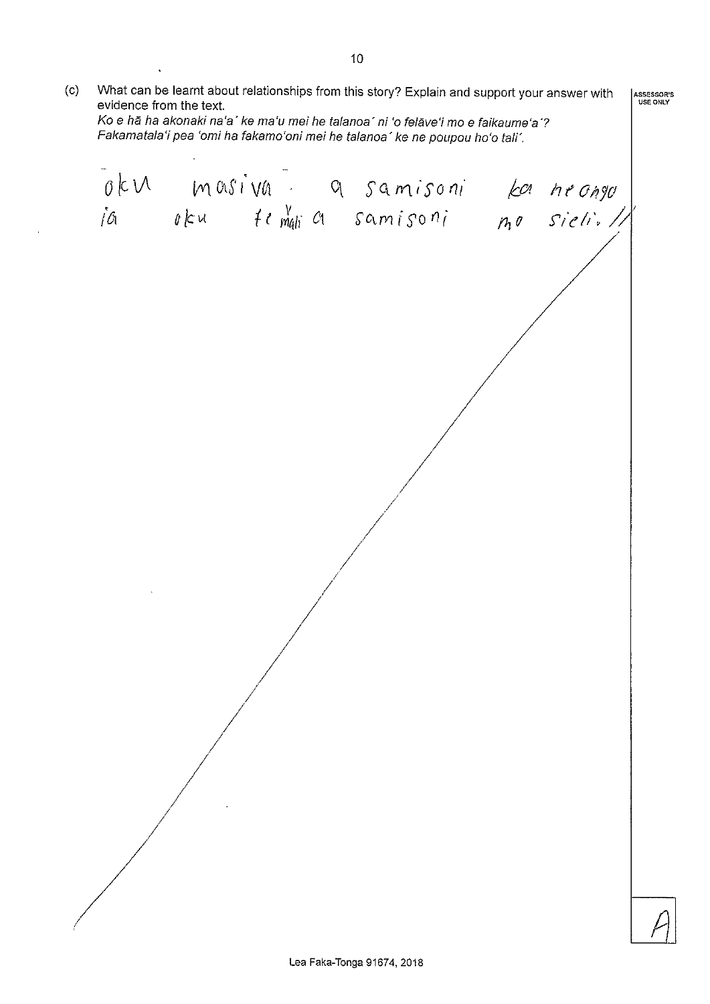What can be learnt about relationships from this story? Explain and support your answer with  $(c)$ ASSESSOR'S evidence from the text. Ko e hā ha akonaki na'a' ke ma'u mei he talanoa' ni 'o felāve'i mo e faikaume'a'? Fakamatala'i pea 'omi ha fakamo'oni mei he talanoa' ke ne poupou ho'o tali'. oku masiva a samisoni ka hrango<br>ia oku temulia samisoni mo sieli.//